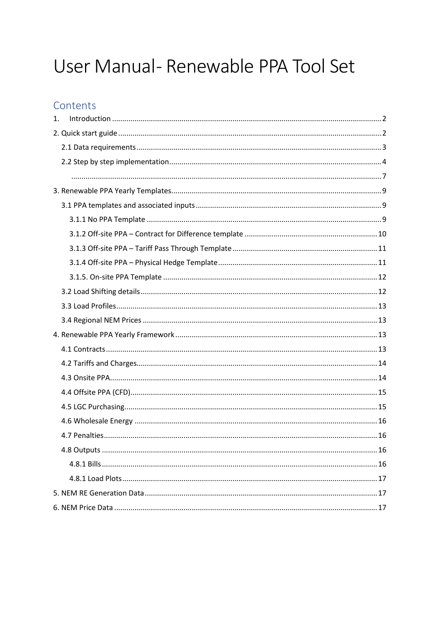# User Manual- Renewable PPA Tool Set

# Contents

| 1. |  |
|----|--|
|    |  |
|    |  |
|    |  |
|    |  |
|    |  |
|    |  |
|    |  |
|    |  |
|    |  |
|    |  |
|    |  |
|    |  |
|    |  |
|    |  |
|    |  |
|    |  |
|    |  |
|    |  |
|    |  |
|    |  |
|    |  |
|    |  |
|    |  |
|    |  |
|    |  |
|    |  |
|    |  |
|    |  |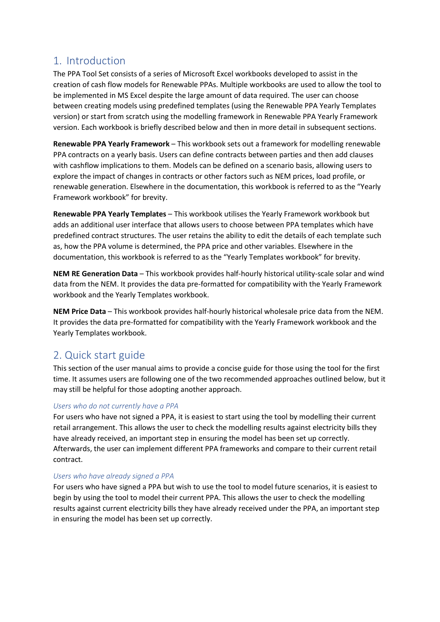# <span id="page-1-0"></span>1. Introduction

The PPA Tool Set consists of a series of Microsoft Excel workbooks developed to assist in the creation of cash flow models for Renewable PPAs. Multiple workbooks are used to allow the tool to be implemented in MS Excel despite the large amount of data required. The user can choose between creating models using predefined templates (using the Renewable PPA Yearly Templates version) or start from scratch using the modelling framework in Renewable PPA Yearly Framework version. Each workbook is briefly described below and then in more detail in subsequent sections.

**Renewable PPA Yearly Framework** – This workbook sets out a framework for modelling renewable PPA contracts on a yearly basis. Users can define contracts between parties and then add clauses with cashflow implications to them. Models can be defined on a scenario basis, allowing users to explore the impact of changes in contracts or other factors such as NEM prices, load profile, or renewable generation. Elsewhere in the documentation, this workbook is referred to as the "Yearly Framework workbook" for brevity.

**Renewable PPA Yearly Templates** – This workbook utilises the Yearly Framework workbook but adds an additional user interface that allows users to choose between PPA templates which have predefined contract structures. The user retains the ability to edit the details of each template such as, how the PPA volume is determined, the PPA price and other variables. Elsewhere in the documentation, this workbook is referred to as the "Yearly Templates workbook" for brevity.

**NEM RE Generation Data** – This workbook provides half-hourly historical utility-scale solar and wind data from the NEM. It provides the data pre-formatted for compatibility with the Yearly Framework workbook and the Yearly Templates workbook.

**NEM Price Data** – This workbook provides half-hourly historical wholesale price data from the NEM. It provides the data pre-formatted for compatibility with the Yearly Framework workbook and the Yearly Templates workbook.

# <span id="page-1-1"></span>2. Quick start guide

This section of the user manual aims to provide a concise guide for those using the tool for the first time. It assumes users are following one of the two recommended approaches outlined below, but it may still be helpful for those adopting another approach.

## *Users who do not currently have a PPA*

For users who have not signed a PPA, it is easiest to start using the tool by modelling their current retail arrangement. This allows the user to check the modelling results against electricity bills they have already received, an important step in ensuring the model has been set up correctly. Afterwards, the user can implement different PPA frameworks and compare to their current retail contract.

#### *Users who have already signed a PPA*

For users who have signed a PPA but wish to use the tool to model future scenarios, it is easiest to begin by using the tool to model their current PPA. This allows the user to check the modelling results against current electricity bills they have already received under the PPA, an important step in ensuring the model has been set up correctly.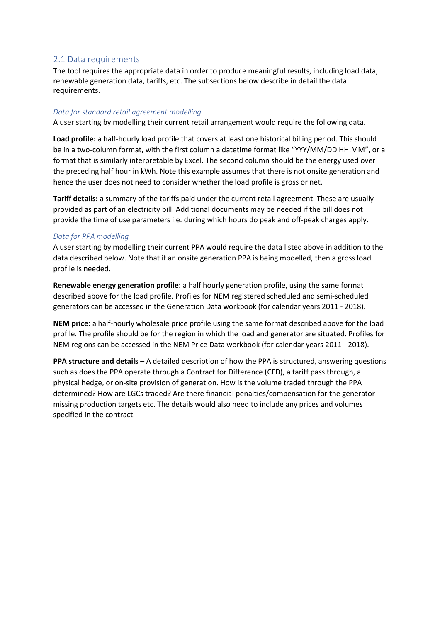#### <span id="page-2-0"></span>2.1 Data requirements

The tool requires the appropriate data in order to produce meaningful results, including load data, renewable generation data, tariffs, etc. The subsections below describe in detail the data requirements.

#### *Data for standard retail agreement modelling*

A user starting by modelling their current retail arrangement would require the following data.

**Load profile:** a half-hourly load profile that covers at least one historical billing period. This should be in a two-column format, with the first column a datetime format like "YYY/MM/DD HH:MM", or a format that is similarly interpretable by Excel. The second column should be the energy used over the preceding half hour in kWh. Note this example assumes that there is not onsite generation and hence the user does not need to consider whether the load profile is gross or net.

**Tariff details:** a summary of the tariffs paid under the current retail agreement. These are usually provided as part of an electricity bill. Additional documents may be needed if the bill does not provide the time of use parameters i.e. during which hours do peak and off-peak charges apply.

#### *Data for PPA modelling*

A user starting by modelling their current PPA would require the data listed above in addition to the data described below. Note that if an onsite generation PPA is being modelled, then a gross load profile is needed.

**Renewable energy generation profile:** a half hourly generation profile, using the same format described above for the load profile. Profiles for NEM registered scheduled and semi-scheduled generators can be accessed in the Generation Data workbook (for calendar years 2011 - 2018).

**NEM price:** a half-hourly wholesale price profile using the same format described above for the load profile. The profile should be for the region in which the load and generator are situated. Profiles for NEM regions can be accessed in the NEM Price Data workbook (for calendar years 2011 - 2018).

**PPA structure and details –** A detailed description of how the PPA is structured, answering questions such as does the PPA operate through a Contract for Difference (CFD), a tariff pass through, a physical hedge, or on-site provision of generation. How is the volume traded through the PPA determined? How are LGCs traded? Are there financial penalties/compensation for the generator missing production targets etc. The details would also need to include any prices and volumes specified in the contract.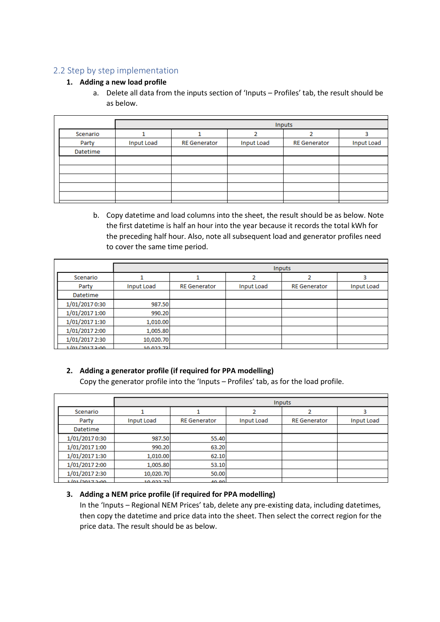## <span id="page-3-0"></span>2.2 Step by step implementation

#### **1. Adding a new load profile**

a. Delete all data from the inputs section of 'Inputs – Profiles' tab, the result should be as below.

|          |                   |                     |                   | Inputs              |                   |
|----------|-------------------|---------------------|-------------------|---------------------|-------------------|
| Scenario |                   |                     |                   |                     |                   |
| Party    | <b>Input Load</b> | <b>RE</b> Generator | <b>Input Load</b> | <b>RE</b> Generator | <b>Input Load</b> |
| Datetime |                   |                     |                   |                     |                   |
|          |                   |                     |                   |                     |                   |
|          |                   |                     |                   |                     |                   |
|          |                   |                     |                   |                     |                   |
|          |                   |                     |                   |                     |                   |
|          |                   |                     |                   |                     |                   |
|          |                   |                     |                   |                     |                   |

b. Copy datetime and load columns into the sheet, the result should be as below. Note the first datetime is half an hour into the year because it records the total kWh for the preceding half hour. Also, note all subsequent load and generator profiles need to cover the same time period.

|                |                   | <b>Inputs</b>       |                   |                     |                   |  |  |  |  |  |  |
|----------------|-------------------|---------------------|-------------------|---------------------|-------------------|--|--|--|--|--|--|
| Scenario       |                   |                     |                   |                     |                   |  |  |  |  |  |  |
| Party          | <b>Input Load</b> | <b>RE</b> Generator | <b>Input Load</b> | <b>RE</b> Generator | <b>Input Load</b> |  |  |  |  |  |  |
| Datetime       |                   |                     |                   |                     |                   |  |  |  |  |  |  |
| 1/01/2017 0:30 | 987.50            |                     |                   |                     |                   |  |  |  |  |  |  |
| 1/01/2017 1:00 | 990.20            |                     |                   |                     |                   |  |  |  |  |  |  |
| 1/01/2017 1:30 | 1,010.00          |                     |                   |                     |                   |  |  |  |  |  |  |
| 1/01/2017 2:00 | 1,005.80          |                     |                   |                     |                   |  |  |  |  |  |  |
| 1/01/2017 2:30 | 10,020.70         |                     |                   |                     |                   |  |  |  |  |  |  |
| 1/n1/20172.00  | וכד ררח חו        |                     |                   |                     |                   |  |  |  |  |  |  |

## **2. Adding a generator profile (if required for PPA modelling)**

Copy the generator profile into the 'Inputs – Profiles' tab, as for the load profile.

|                |                   |                     |                   | <b>Inputs</b>       |                   |
|----------------|-------------------|---------------------|-------------------|---------------------|-------------------|
| Scenario       |                   |                     |                   |                     |                   |
| Party          | <b>Input Load</b> | <b>RE</b> Generator | <b>Input Load</b> | <b>RE</b> Generator | <b>Input Load</b> |
| Datetime       |                   |                     |                   |                     |                   |
| 1/01/2017 0:30 | 987.50            | 55.40               |                   |                     |                   |
| 1/01/2017 1:00 | 990.20            | 63.20               |                   |                     |                   |
| 1/01/2017 1:30 | 1,010.00          | 62.10               |                   |                     |                   |
| 1/01/2017 2:00 | 1,005.80          | 53.10               |                   |                     |                   |
| 1/01/2017 2:30 | 10,020.70         | 50.00               |                   |                     |                   |
| 101222222      | <b>10.099.75</b>  | AD DO               |                   |                     |                   |

#### **3. Adding a NEM price profile (if required for PPA modelling)**

In the 'Inputs – Regional NEM Prices' tab, delete any pre-existing data, including datetimes, then copy the datetime and price data into the sheet. Then select the correct region for the price data. The result should be as below.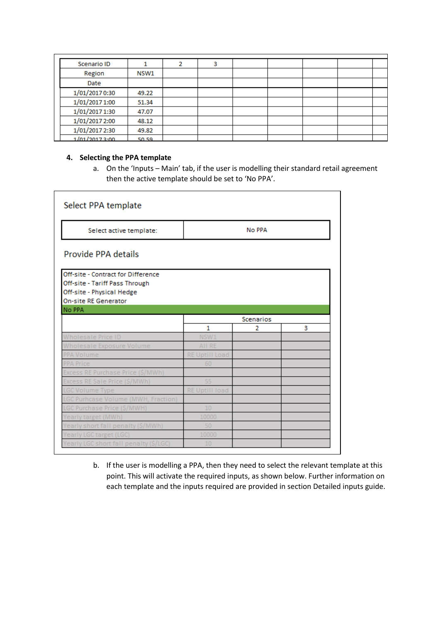| Scenario ID    |       |  |  |  |  |
|----------------|-------|--|--|--|--|
| Region         | NSW1  |  |  |  |  |
| Date           |       |  |  |  |  |
| 1/01/2017 0:30 | 49.22 |  |  |  |  |
| 1/01/2017 1:00 | 51.34 |  |  |  |  |
| 1/01/2017 1:30 | 47.07 |  |  |  |  |
| 1/01/2017 2:00 | 48.12 |  |  |  |  |
| 1/01/2017 2:30 | 49.82 |  |  |  |  |
| 1/n1/20173:00  | 50.59 |  |  |  |  |

#### **4. Selecting the PPA template**

a. On the 'Inputs – Main' tab, if the user is modelling their standard retail agreement then the active template should be set to 'No PPA'.

| Select PPA template                                                                                                                                                                                                                                                                                                                                                                                                                                                                     |        |  |  |  |  |  |  |  |  |
|-----------------------------------------------------------------------------------------------------------------------------------------------------------------------------------------------------------------------------------------------------------------------------------------------------------------------------------------------------------------------------------------------------------------------------------------------------------------------------------------|--------|--|--|--|--|--|--|--|--|
| Select active template:                                                                                                                                                                                                                                                                                                                                                                                                                                                                 | No PPA |  |  |  |  |  |  |  |  |
| Provide PPA details                                                                                                                                                                                                                                                                                                                                                                                                                                                                     |        |  |  |  |  |  |  |  |  |
| Off-site - Contract for Difference<br>Off-site - Tariff Pass Through<br>Off-site - Physical Hedge<br><b>On-site RE Generator</b>                                                                                                                                                                                                                                                                                                                                                        |        |  |  |  |  |  |  |  |  |
| No PPA<br>Scenarios<br>1<br>3<br>2<br>Vholesale Price ID<br>AII RE<br>holesale Exposure Volume<br><b>RE Uptill Load</b><br>PA Volume<br>PA Price<br>60<br>xcess RE Purchase Price (\$/MWh)<br>55<br>ess RE Sale Price (\$/MWh)<br><b>RE Uptill load</b><br>GC Volume Type<br>GC Purhcase Volume (MWH, Fraction)<br>10<br>GC Purchase Price (\$/MWH)<br>early target (MWh)<br>50<br>early short fall penalty (\$/MWh)<br>early LGC target (LGC)<br>early LGC short fall penalty (\$/LGC) |        |  |  |  |  |  |  |  |  |
|                                                                                                                                                                                                                                                                                                                                                                                                                                                                                         |        |  |  |  |  |  |  |  |  |
|                                                                                                                                                                                                                                                                                                                                                                                                                                                                                         |        |  |  |  |  |  |  |  |  |
|                                                                                                                                                                                                                                                                                                                                                                                                                                                                                         |        |  |  |  |  |  |  |  |  |
|                                                                                                                                                                                                                                                                                                                                                                                                                                                                                         |        |  |  |  |  |  |  |  |  |
|                                                                                                                                                                                                                                                                                                                                                                                                                                                                                         |        |  |  |  |  |  |  |  |  |
|                                                                                                                                                                                                                                                                                                                                                                                                                                                                                         |        |  |  |  |  |  |  |  |  |
|                                                                                                                                                                                                                                                                                                                                                                                                                                                                                         |        |  |  |  |  |  |  |  |  |
|                                                                                                                                                                                                                                                                                                                                                                                                                                                                                         |        |  |  |  |  |  |  |  |  |
|                                                                                                                                                                                                                                                                                                                                                                                                                                                                                         |        |  |  |  |  |  |  |  |  |
|                                                                                                                                                                                                                                                                                                                                                                                                                                                                                         |        |  |  |  |  |  |  |  |  |
|                                                                                                                                                                                                                                                                                                                                                                                                                                                                                         |        |  |  |  |  |  |  |  |  |
|                                                                                                                                                                                                                                                                                                                                                                                                                                                                                         |        |  |  |  |  |  |  |  |  |
|                                                                                                                                                                                                                                                                                                                                                                                                                                                                                         |        |  |  |  |  |  |  |  |  |
|                                                                                                                                                                                                                                                                                                                                                                                                                                                                                         |        |  |  |  |  |  |  |  |  |
|                                                                                                                                                                                                                                                                                                                                                                                                                                                                                         |        |  |  |  |  |  |  |  |  |

b. If the user is modelling a PPA, then they need to select the relevant template at this point. This will activate the required inputs, as shown below. Further information on each template and the inputs required are provided in section Detailed inputs guide.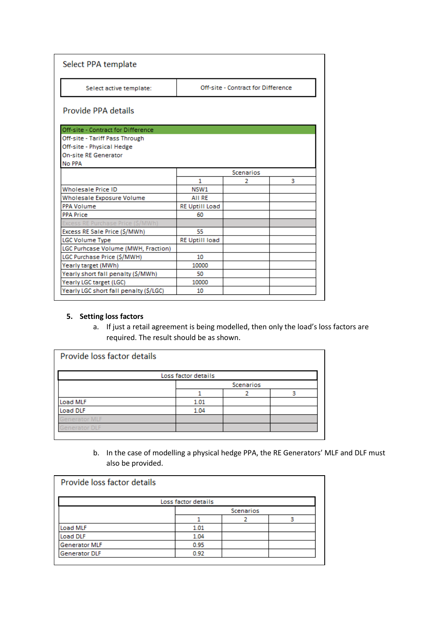| Select PPA template                    |                       |                                    |   |
|----------------------------------------|-----------------------|------------------------------------|---|
| Select active template:                |                       | Off-site - Contract for Difference |   |
| Provide PPA details                    |                       |                                    |   |
| Off-site - Contract for Difference     |                       |                                    |   |
| Off-site - Tariff Pass Through         |                       |                                    |   |
| Off-site - Physical Hedge              |                       |                                    |   |
| <b>On-site RE Generator</b>            |                       |                                    |   |
| No PPA                                 |                       |                                    |   |
|                                        |                       | <b>Scenarios</b>                   |   |
|                                        | 1                     | 2                                  | 3 |
| <b>Wholesale Price ID</b>              | NSW1                  |                                    |   |
| Wholesale Exposure Volume              | AII RE                |                                    |   |
| <b>PPA Volume</b>                      | <b>RE Uptill Load</b> |                                    |   |
| <b>PPA Price</b>                       | 60                    |                                    |   |
| xcess RE Purchase Price (\$/MWh)       |                       |                                    |   |
| Excess RE Sale Price (\$/MWh)          | 55.                   |                                    |   |
| <b>LGC Volume Type</b>                 | <b>RE Uptill load</b> |                                    |   |
| LGC Purhcase Volume (MWH, Fraction)    |                       |                                    |   |
| LGC Purchase Price (\$/MWH)            | 10                    |                                    |   |
| Yearly target (MWh)                    | 10000                 |                                    |   |
| Yearly short fall penalty (\$/MWh)     | 50                    |                                    |   |
| Yearly LGC target (LGC)                | 10000                 |                                    |   |
| Yearly LGC short fall penalty (\$/LGC) | 10                    |                                    |   |

#### **5. Setting loss factors**

a. If just a retail agreement is being modelled, then only the load's loss factors are required. The result should be as shown.

| Loss factor details  |           |  |  |  |  |  |  |
|----------------------|-----------|--|--|--|--|--|--|
|                      | Scenarios |  |  |  |  |  |  |
|                      |           |  |  |  |  |  |  |
| Load MLF             | 1.01      |  |  |  |  |  |  |
| Load DLF             | 1.04      |  |  |  |  |  |  |
| <b>Generator MLF</b> |           |  |  |  |  |  |  |
| Generator DLF        |           |  |  |  |  |  |  |

b. In the case of modelling a physical hedge PPA, the RE Generators' MLF and DLF must also be provided.

| Provide loss factor details |                     |                  |   |  |  |  |  |  |  |
|-----------------------------|---------------------|------------------|---|--|--|--|--|--|--|
|                             | Loss factor details |                  |   |  |  |  |  |  |  |
|                             |                     | <b>Scenarios</b> |   |  |  |  |  |  |  |
|                             |                     |                  | Q |  |  |  |  |  |  |
| Load MLF                    | 1.01                |                  |   |  |  |  |  |  |  |
| Load DLF                    | 1.04                |                  |   |  |  |  |  |  |  |
| <b>Generator MLF</b>        | 0.95                |                  |   |  |  |  |  |  |  |
| <b>Generator DLF</b>        | 0.92                |                  |   |  |  |  |  |  |  |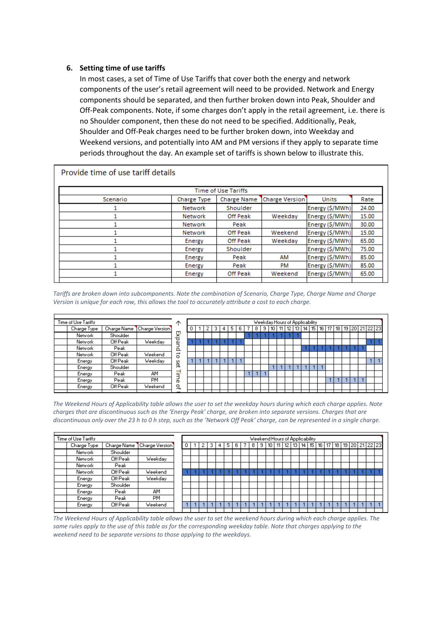#### **6. Setting time of use tariffs**

In most cases, a set of Time of Use Tariffs that cover both the energy and network components of the user's retail agreement will need to be provided. Network and Energy components should be separated, and then further broken down into Peak, Shoulder and Off-Peak components. Note, if some charges don't apply in the retail agreement, i.e. there is no Shoulder component, then these do not need to be specified. Additionally, Peak, Shoulder and Off-Peak charges need to be further broken down, into Weekday and Weekend versions, and potentially into AM and PM versions if they apply to separate time periods throughout the day. An example set of tariffs is shown below to illustrate this.

| Provide time of use tariff details |                    |                            |                       |                 |       |
|------------------------------------|--------------------|----------------------------|-----------------------|-----------------|-------|
|                                    |                    | <b>Time of Use Tariffs</b> |                       |                 |       |
| Scenario                           | <b>Charge Type</b> | <b>Charge Name</b>         | <b>Charge Version</b> | Units           | Rate  |
|                                    | Network            | Shoulder                   |                       | Energy (\$/MWh) | 24.00 |
|                                    | Network            | Off Peak                   | Weekday               | Energy (\$/MWh) | 15.00 |
|                                    | Network            | Peak                       |                       | Energy (\$/MWh) | 30.00 |
|                                    | Network            | Off Peak                   | Weekend               | Energy (\$/MWh) | 15.00 |
|                                    | Energy             | Off Peak                   | Weekday               | Energy (\$/MWh) | 65.00 |
|                                    | Energy             | Shoulder                   |                       | Energy (S/MWh)  | 75.00 |
|                                    | Energy             | Peak                       | AM                    | Energy (\$/MWh) | 85.00 |
|                                    | Energy             | Peak                       | PM                    | Energy (\$/MWh) | 85.00 |
|                                    | Energy             | Off Peak                   | Weekend               | Energy (\$/MWh) | 65.00 |
|                                    |                    |                            |                       |                 |       |

*Tariffs are broken down into subcomponents. Note the combination of Scenario, Charge Type, Charge Name and Charge Version is unique for each row, this allows the tool to accurately attribute a cost to each charge.* 

| Time of Use Tariffs |             |                |               |  |  |  |
|---------------------|-------------|----------------|---------------|--|--|--|
| Charge Type         | Charge Name | Charge Version |               |  |  |  |
| Network             | Shoulder    |                | <b>Expand</b> |  |  |  |
| Network             | Off Peak    | Weekday        |               |  |  |  |
| Network             | Peak        |                |               |  |  |  |
| Network             | Off Peak    | Weekend        | 5             |  |  |  |
| Energy              | Off Peak    | Weekday        | šet           |  |  |  |
| Energy              | Shoulder    |                |               |  |  |  |
| Energy              | Peak        | AM             | Time          |  |  |  |
| Energy              | Peak        | PМ             |               |  |  |  |
| Energy              | Off Peak    | Weekend        | Չ             |  |  |  |
|                     |             |                |               |  |  |  |

|  |   |   |   |   |   |    | Weekday Hours of Applicability |    |      |    |    |    |    |    |    |    |       |  |
|--|---|---|---|---|---|----|--------------------------------|----|------|----|----|----|----|----|----|----|-------|--|
|  | з | 5 | 6 | 8 | 9 | 10 |                                | 12 | 13 ' | 14 | 15 | 16 | 18 | 19 | 20 | 21 | 22 23 |  |
|  |   |   |   |   |   |    |                                |    |      |    |    |    |    |    |    |    |       |  |
|  |   |   |   |   |   |    |                                |    |      |    |    |    |    |    |    |    |       |  |
|  |   |   |   |   |   |    |                                |    |      |    |    |    |    |    |    |    |       |  |
|  |   |   |   |   |   |    |                                |    |      |    |    |    |    |    |    |    |       |  |
|  |   |   |   |   |   |    |                                |    |      |    |    |    |    |    |    |    |       |  |
|  |   |   |   |   |   |    |                                |    |      |    |    |    |    |    |    |    |       |  |
|  |   |   |   |   |   |    |                                |    |      |    |    |    |    |    |    |    |       |  |
|  |   |   |   |   |   |    |                                |    |      |    |    |    |    |    |    |    |       |  |
|  |   |   |   |   |   |    |                                |    |      |    |    |    |    |    |    |    |       |  |
|  |   |   |   |   |   |    |                                |    |      |    |    |    |    |    |    |    |       |  |

*The Weekend Hours of Applicability table allows the user to set the weekday hours during which each charge applies. Note charges that are discontinuous such as the 'Energy Peak' charge, are broken into separate versions. Charges that are discontinuous only over the 23 h to 0 h step, such as the 'Network Off Peak' charge, can be represented in a single charge.*

<span id="page-6-0"></span>

| Time of Use Tariffs |             |             |                | Weekend Hours of Applicability |   |  |   |   |   |   |   |  |     |   |     |  |  |             |  |                   |  |                |  |
|---------------------|-------------|-------------|----------------|--------------------------------|---|--|---|---|---|---|---|--|-----|---|-----|--|--|-------------|--|-------------------|--|----------------|--|
|                     | Charge Type | Charge Name | Charge Version |                                | 0 |  | 0 | 3 | 4 | 5 | 6 |  | 8 I | э | 110 |  |  | 11 12 13 14 |  | 15   16   17   18 |  | 19 20 21 22 23 |  |
|                     | Network     | Shoulder    |                |                                |   |  |   |   |   |   |   |  |     |   |     |  |  |             |  |                   |  |                |  |
|                     | Network     | Off Peak    | Weekday        |                                |   |  |   |   |   |   |   |  |     |   |     |  |  |             |  |                   |  |                |  |
|                     | Network     | Peak        |                |                                |   |  |   |   |   |   |   |  |     |   |     |  |  |             |  |                   |  |                |  |
|                     | Network     | Off Peak    | Weekend        |                                |   |  |   |   |   |   |   |  |     |   |     |  |  |             |  |                   |  |                |  |
|                     | Energy      | Off Peak    | Weekday        |                                |   |  |   |   |   |   |   |  |     |   |     |  |  |             |  |                   |  |                |  |
|                     | Energy      | Shoulder    |                |                                |   |  |   |   |   |   |   |  |     |   |     |  |  |             |  |                   |  |                |  |
|                     | Energy      | Peak        | AM             |                                |   |  |   |   |   |   |   |  |     |   |     |  |  |             |  |                   |  |                |  |
|                     | Energy      | Peak        | <b>PM</b>      |                                |   |  |   |   |   |   |   |  |     |   |     |  |  |             |  |                   |  |                |  |
|                     | Energy      | Off Peak    | Weekend        |                                |   |  |   |   |   |   |   |  |     |   |     |  |  |             |  |                   |  |                |  |
|                     |             |             |                |                                |   |  |   |   |   |   |   |  |     |   |     |  |  |             |  |                   |  |                |  |

*The Weekend Hours of Applicability table allows the user to set the weekend hours during which each charge applies. The*  same rules apply to the use of this table as for the corresponding weekday table. Note that charges applying to the *weekend need to be separate versions to those applying to the weekdays.*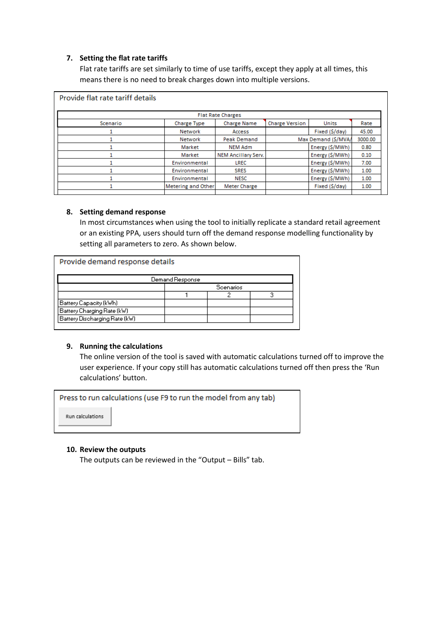#### **7. Setting the flat rate tariffs**

Flat rate tariffs are set similarly to time of use tariffs, except they apply at all times, this means there is no need to break charges down into multiple versions.

| Provide flat rate tariff details |                    |                            |                       |                     |         |  |  |  |  |  |  |  |
|----------------------------------|--------------------|----------------------------|-----------------------|---------------------|---------|--|--|--|--|--|--|--|
| <b>Flat Rate Charges</b>         |                    |                            |                       |                     |         |  |  |  |  |  |  |  |
| Scenario                         | <b>Charge Type</b> | <b>Charge Name</b>         | <b>Charge Version</b> | <b>Units</b>        | Rate    |  |  |  |  |  |  |  |
|                                  | Network            | Access                     |                       | Fixed (\$/day)      | 45.00   |  |  |  |  |  |  |  |
|                                  | <b>Network</b>     | <b>Peak Demand</b>         |                       | Max Demand (\$/MVA/ | 3000.00 |  |  |  |  |  |  |  |
|                                  | Market             | <b>NEM Adm</b>             |                       | Energy (\$/MWh)     | 0.80    |  |  |  |  |  |  |  |
|                                  | Market             | <b>NEM Ancillary Serv.</b> |                       | Energy (\$/MWh)     | 0.10    |  |  |  |  |  |  |  |
|                                  | Environmental      | LREC                       |                       | Energy (\$/MWh)     | 7.00    |  |  |  |  |  |  |  |
|                                  | Environmental      | <b>SRES</b>                |                       | Energy (\$/MWh)     | 1.00    |  |  |  |  |  |  |  |
|                                  | Environmental      | <b>NESC</b>                |                       | Energy (\$/MWh)     | 1.00    |  |  |  |  |  |  |  |
|                                  | Metering and Other | Meter Charge               |                       | Fixed (\$/day)      | 1.00    |  |  |  |  |  |  |  |
|                                  |                    |                            |                       |                     |         |  |  |  |  |  |  |  |

#### **8. Setting demand response**

In most circumstances when using the tool to initially replicate a standard retail agreement or an existing PPA, users should turn off the demand response modelling functionality by setting all parameters to zero. As shown below.

| Provide demand response details |           |   |  |  |  |  |  |  |  |  |  |
|---------------------------------|-----------|---|--|--|--|--|--|--|--|--|--|
| Demand Response                 |           |   |  |  |  |  |  |  |  |  |  |
|                                 | Scenarios |   |  |  |  |  |  |  |  |  |  |
|                                 |           | ≏ |  |  |  |  |  |  |  |  |  |
|                                 |           |   |  |  |  |  |  |  |  |  |  |
|                                 |           |   |  |  |  |  |  |  |  |  |  |
|                                 |           |   |  |  |  |  |  |  |  |  |  |
|                                 |           |   |  |  |  |  |  |  |  |  |  |

#### **9. Running the calculations**

The online version of the tool is saved with automatic calculations turned off to improve the user experience. If your copy still has automatic calculations turned off then press the 'Run calculations' button.

Press to run calculations (use F9 to run the model from any tab)

Run calculations

#### **10. Review the outputs**

The outputs can be reviewed in the "Output – Bills" tab.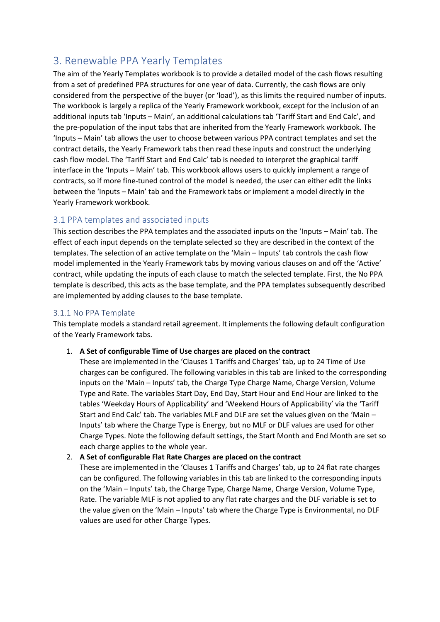# <span id="page-8-0"></span>3. Renewable PPA Yearly Templates

The aim of the Yearly Templates workbook is to provide a detailed model of the cash flows resulting from a set of predefined PPA structures for one year of data. Currently, the cash flows are only considered from the perspective of the buyer (or 'load'), as this limits the required number of inputs. The workbook is largely a replica of the Yearly Framework workbook, except for the inclusion of an additional inputs tab 'Inputs – Main', an additional calculations tab 'Tariff Start and End Calc', and the pre-population of the input tabs that are inherited from the Yearly Framework workbook. The 'Inputs – Main' tab allows the user to choose between various PPA contract templates and set the contract details, the Yearly Framework tabs then read these inputs and construct the underlying cash flow model. The 'Tariff Start and End Calc' tab is needed to interpret the graphical tariff interface in the 'Inputs – Main' tab. This workbook allows users to quickly implement a range of contracts, so if more fine-tuned control of the model is needed, the user can either edit the links between the 'Inputs – Main' tab and the Framework tabs or implement a model directly in the Yearly Framework workbook.

## <span id="page-8-1"></span>3.1 PPA templates and associated inputs

This section describes the PPA templates and the associated inputs on the 'Inputs – Main' tab. The effect of each input depends on the template selected so they are described in the context of the templates. The selection of an active template on the 'Main – Inputs' tab controls the cash flow model implemented in the Yearly Framework tabs by moving various clauses on and off the 'Active' contract, while updating the inputs of each clause to match the selected template. First, the No PPA template is described, this acts as the base template, and the PPA templates subsequently described are implemented by adding clauses to the base template.

## <span id="page-8-2"></span>3.1.1 No PPA Template

This template models a standard retail agreement. It implements the following default configuration of the Yearly Framework tabs.

#### 1. **A Set of configurable Time of Use charges are placed on the contract**

These are implemented in the 'Clauses 1 Tariffs and Charges' tab, up to 24 Time of Use charges can be configured. The following variables in this tab are linked to the corresponding inputs on the 'Main – Inputs' tab, the Charge Type Charge Name, Charge Version, Volume Type and Rate. The variables Start Day, End Day, Start Hour and End Hour are linked to the tables 'Weekday Hours of Applicability' and 'Weekend Hours of Applicability' via the 'Tariff Start and End Calc' tab. The variables MLF and DLF are set the values given on the 'Main – Inputs' tab where the Charge Type is Energy, but no MLF or DLF values are used for other Charge Types. Note the following default settings, the Start Month and End Month are set so each charge applies to the whole year.

#### 2. **A Set of configurable Flat Rate Charges are placed on the contract**

These are implemented in the 'Clauses 1 Tariffs and Charges' tab, up to 24 flat rate charges can be configured. The following variables in this tab are linked to the corresponding inputs on the 'Main – Inputs' tab, the Charge Type, Charge Name, Charge Version, Volume Type, Rate. The variable MLF is not applied to any flat rate charges and the DLF variable is set to the value given on the 'Main – Inputs' tab where the Charge Type is Environmental, no DLF values are used for other Charge Types.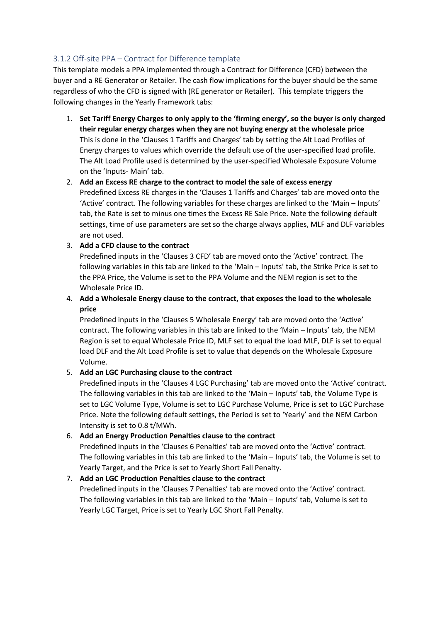## <span id="page-9-0"></span>3.1.2 Off-site PPA – Contract for Difference template

This template models a PPA implemented through a Contract for Difference (CFD) between the buyer and a RE Generator or Retailer. The cash flow implications for the buyer should be the same regardless of who the CFD is signed with (RE generator or Retailer). This template triggers the following changes in the Yearly Framework tabs:

- 1. **Set Tariff Energy Charges to only apply to the 'firming energy', so the buyer is only charged their regular energy charges when they are not buying energy at the wholesale price**  This is done in the 'Clauses 1 Tariffs and Charges' tab by setting the Alt Load Profiles of Energy charges to values which override the default use of the user-specified load profile. The Alt Load Profile used is determined by the user-specified Wholesale Exposure Volume on the 'Inputs- Main' tab.
- 2. **Add an Excess RE charge to the contract to model the sale of excess energy** Predefined Excess RE charges in the 'Clauses 1 Tariffs and Charges' tab are moved onto the 'Active' contract. The following variables for these charges are linked to the 'Main – Inputs' tab, the Rate is set to minus one times the Excess RE Sale Price. Note the following default settings, time of use parameters are set so the charge always applies, MLF and DLF variables are not used.

#### 3. **Add a CFD clause to the contract**

Predefined inputs in the 'Clauses 3 CFD' tab are moved onto the 'Active' contract. The following variables in this tab are linked to the 'Main – Inputs' tab, the Strike Price is set to the PPA Price, the Volume is set to the PPA Volume and the NEM region is set to the Wholesale Price ID.

4. **Add a Wholesale Energy clause to the contract, that exposes the load to the wholesale price**

Predefined inputs in the 'Clauses 5 Wholesale Energy' tab are moved onto the 'Active' contract. The following variables in this tab are linked to the 'Main – Inputs' tab, the NEM Region is set to equal Wholesale Price ID, MLF set to equal the load MLF, DLF is set to equal load DLF and the Alt Load Profile is set to value that depends on the Wholesale Exposure Volume.

#### 5. **Add an LGC Purchasing clause to the contract**

Predefined inputs in the 'Clauses 4 LGC Purchasing' tab are moved onto the 'Active' contract. The following variables in this tab are linked to the 'Main – Inputs' tab, the Volume Type is set to LGC Volume Type, Volume is set to LGC Purchase Volume, Price is set to LGC Purchase Price. Note the following default settings, the Period is set to 'Yearly' and the NEM Carbon Intensity is set to 0.8 t/MWh.

#### 6. **Add an Energy Production Penalties clause to the contract**

Predefined inputs in the 'Clauses 6 Penalties' tab are moved onto the 'Active' contract. The following variables in this tab are linked to the 'Main – Inputs' tab, the Volume is set to Yearly Target, and the Price is set to Yearly Short Fall Penalty.

#### 7. **Add an LGC Production Penalties clause to the contract**

Predefined inputs in the 'Clauses 7 Penalties' tab are moved onto the 'Active' contract. The following variables in this tab are linked to the 'Main – Inputs' tab, Volume is set to Yearly LGC Target, Price is set to Yearly LGC Short Fall Penalty.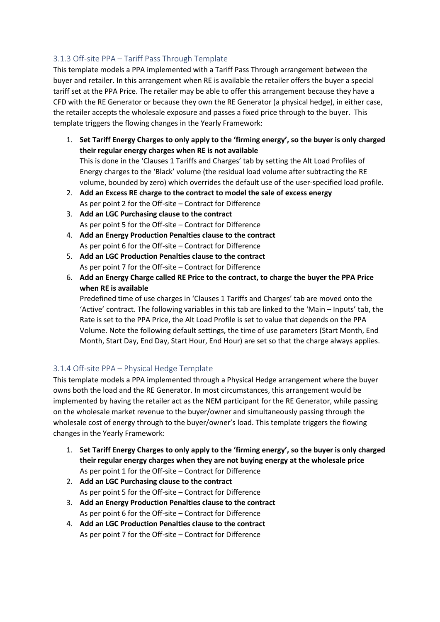## <span id="page-10-0"></span>3.1.3 Off-site PPA – Tariff Pass Through Template

This template models a PPA implemented with a Tariff Pass Through arrangement between the buyer and retailer. In this arrangement when RE is available the retailer offers the buyer a special tariff set at the PPA Price. The retailer may be able to offer this arrangement because they have a CFD with the RE Generator or because they own the RE Generator (a physical hedge), in either case, the retailer accepts the wholesale exposure and passes a fixed price through to the buyer. This template triggers the flowing changes in the Yearly Framework:

- 1. **Set Tariff Energy Charges to only apply to the 'firming energy', so the buyer is only charged their regular energy charges when RE is not available**  This is done in the 'Clauses 1 Tariffs and Charges' tab by setting the Alt Load Profiles of Energy charges to the 'Black' volume (the residual load volume after subtracting the RE volume, bounded by zero) which overrides the default use of the user-specified load profile.
- 2. **Add an Excess RE charge to the contract to model the sale of excess energy** As per point 2 for the Off-site – Contract for Difference
- 3. **Add an LGC Purchasing clause to the contract** As per point 5 for the Off-site – Contract for Difference
- 4. **Add an Energy Production Penalties clause to the contract** As per point 6 for the Off-site – Contract for Difference
- 5. **Add an LGC Production Penalties clause to the contract** As per point 7 for the Off-site – Contract for Difference
- 6. **Add an Energy Charge called RE Price to the contract, to charge the buyer the PPA Price when RE is available**

Predefined time of use charges in 'Clauses 1 Tariffs and Charges' tab are moved onto the 'Active' contract. The following variables in this tab are linked to the 'Main – Inputs' tab, the Rate is set to the PPA Price, the Alt Load Profile is set to value that depends on the PPA Volume. Note the following default settings, the time of use parameters (Start Month, End Month, Start Day, End Day, Start Hour, End Hour) are set so that the charge always applies.

## <span id="page-10-1"></span>3.1.4 Off-site PPA – Physical Hedge Template

This template models a PPA implemented through a Physical Hedge arrangement where the buyer owns both the load and the RE Generator. In most circumstances, this arrangement would be implemented by having the retailer act as the NEM participant for the RE Generator, while passing on the wholesale market revenue to the buyer/owner and simultaneously passing through the wholesale cost of energy through to the buyer/owner's load. This template triggers the flowing changes in the Yearly Framework:

- 1. **Set Tariff Energy Charges to only apply to the 'firming energy', so the buyer is only charged their regular energy charges when they are not buying energy at the wholesale price** As per point 1 for the Off-site – Contract for Difference
- 2. **Add an LGC Purchasing clause to the contract** As per point 5 for the Off-site – Contract for Difference
- 3. **Add an Energy Production Penalties clause to the contract** As per point 6 for the Off-site – Contract for Difference
- 4. **Add an LGC Production Penalties clause to the contract** As per point 7 for the Off-site – Contract for Difference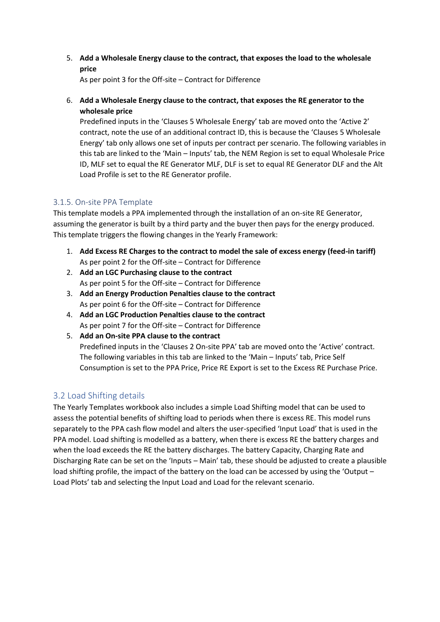5. **Add a Wholesale Energy clause to the contract, that exposes the load to the wholesale price**

As per point 3 for the Off-site – Contract for Difference

6. **Add a Wholesale Energy clause to the contract, that exposes the RE generator to the wholesale price**

Predefined inputs in the 'Clauses 5 Wholesale Energy' tab are moved onto the 'Active 2' contract, note the use of an additional contract ID, this is because the 'Clauses 5 Wholesale Energy' tab only allows one set of inputs per contract per scenario. The following variables in this tab are linked to the 'Main – Inputs' tab, the NEM Region is set to equal Wholesale Price ID, MLF set to equal the RE Generator MLF, DLF is set to equal RE Generator DLF and the Alt Load Profile is set to the RE Generator profile.

#### <span id="page-11-0"></span>3.1.5. On-site PPA Template

This template models a PPA implemented through the installation of an on-site RE Generator, assuming the generator is built by a third party and the buyer then pays for the energy produced. This template triggers the flowing changes in the Yearly Framework:

- 1. **Add Excess RE Charges to the contract to model the sale of excess energy (feed-in tariff)** As per point 2 for the Off-site – Contract for Difference
- 2. **Add an LGC Purchasing clause to the contract** As per point 5 for the Off-site – Contract for Difference
- 3. **Add an Energy Production Penalties clause to the contract** As per point 6 for the Off-site – Contract for Difference
- 4. **Add an LGC Production Penalties clause to the contract** As per point 7 for the Off-site – Contract for Difference
- 5. **Add an On-site PPA clause to the contract** Predefined inputs in the 'Clauses 2 On-site PPA' tab are moved onto the 'Active' contract. The following variables in this tab are linked to the 'Main – Inputs' tab, Price Self Consumption is set to the PPA Price, Price RE Export is set to the Excess RE Purchase Price.

## <span id="page-11-1"></span>3.2 Load Shifting details

The Yearly Templates workbook also includes a simple Load Shifting model that can be used to assess the potential benefits of shifting load to periods when there is excess RE. This model runs separately to the PPA cash flow model and alters the user-specified 'Input Load' that is used in the PPA model. Load shifting is modelled as a battery, when there is excess RE the battery charges and when the load exceeds the RE the battery discharges. The battery Capacity, Charging Rate and Discharging Rate can be set on the 'Inputs – Main' tab, these should be adjusted to create a plausible load shifting profile, the impact of the battery on the load can be accessed by using the 'Output – Load Plots' tab and selecting the Input Load and Load for the relevant scenario.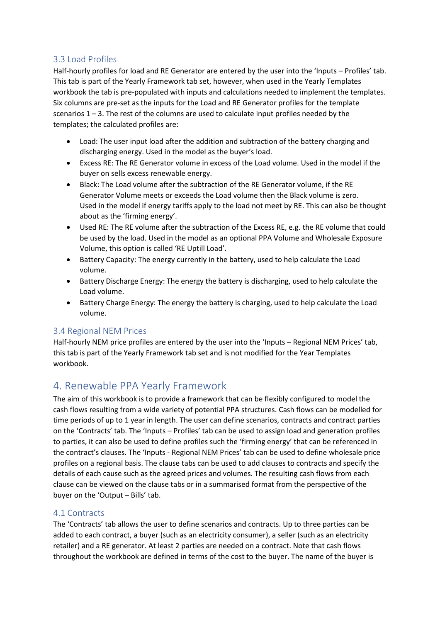## <span id="page-12-0"></span>3.3 Load Profiles

Half-hourly profiles for load and RE Generator are entered by the user into the 'Inputs – Profiles' tab. This tab is part of the Yearly Framework tab set, however, when used in the Yearly Templates workbook the tab is pre-populated with inputs and calculations needed to implement the templates. Six columns are pre-set as the inputs for the Load and RE Generator profiles for the template scenarios  $1 - 3$ . The rest of the columns are used to calculate input profiles needed by the templates; the calculated profiles are:

- Load: The user input load after the addition and subtraction of the battery charging and discharging energy. Used in the model as the buyer's load.
- Excess RE: The RE Generator volume in excess of the Load volume. Used in the model if the buyer on sells excess renewable energy.
- Black: The Load volume after the subtraction of the RE Generator volume, if the RE Generator Volume meets or exceeds the Load volume then the Black volume is zero. Used in the model if energy tariffs apply to the load not meet by RE. This can also be thought about as the 'firming energy'.
- Used RE: The RE volume after the subtraction of the Excess RE, e.g. the RE volume that could be used by the load. Used in the model as an optional PPA Volume and Wholesale Exposure Volume, this option is called 'RE Uptill Load'.
- Battery Capacity: The energy currently in the battery, used to help calculate the Load volume.
- Battery Discharge Energy: The energy the battery is discharging, used to help calculate the Load volume.
- Battery Charge Energy: The energy the battery is charging, used to help calculate the Load volume.

## <span id="page-12-1"></span>3.4 Regional NEM Prices

Half-hourly NEM price profiles are entered by the user into the 'Inputs – Regional NEM Prices' tab, this tab is part of the Yearly Framework tab set and is not modified for the Year Templates workbook.

# <span id="page-12-2"></span>4. Renewable PPA Yearly Framework

The aim of this workbook is to provide a framework that can be flexibly configured to model the cash flows resulting from a wide variety of potential PPA structures. Cash flows can be modelled for time periods of up to 1 year in length. The user can define scenarios, contracts and contract parties on the 'Contracts' tab. The 'Inputs – Profiles' tab can be used to assign load and generation profiles to parties, it can also be used to define profiles such the 'firming energy' that can be referenced in the contract's clauses. The 'Inputs - Regional NEM Prices' tab can be used to define wholesale price profiles on a regional basis. The clause tabs can be used to add clauses to contracts and specify the details of each cause such as the agreed prices and volumes. The resulting cash flows from each clause can be viewed on the clause tabs or in a summarised format from the perspective of the buyer on the 'Output – Bills' tab.

## <span id="page-12-3"></span>4.1 Contracts

The 'Contracts' tab allows the user to define scenarios and contracts. Up to three parties can be added to each contract, a buyer (such as an electricity consumer), a seller (such as an electricity retailer) and a RE generator. At least 2 parties are needed on a contract. Note that cash flows throughout the workbook are defined in terms of the cost to the buyer. The name of the buyer is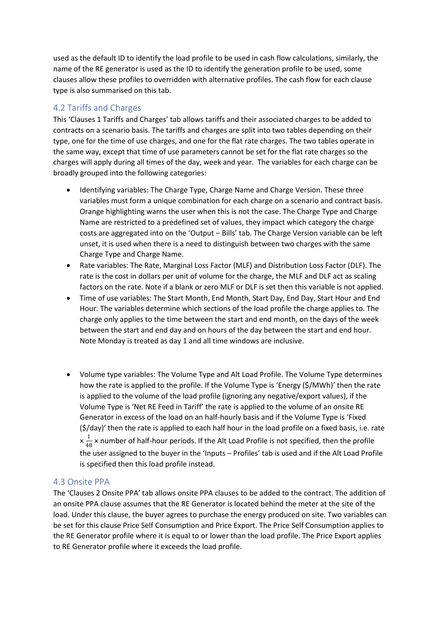used as the default ID to identify the load profile to be used in cash flow calculations, similarly, the name of the RE generator is used as the ID to identify the generation profile to be used, some clauses allow these profiles to overridden with alternative profiles. The cash flow for each clause type is also summarised on this tab.

## <span id="page-13-0"></span>4.2 Tariffs and Charges

This 'Clauses 1 Tariffs and Charges' tab allows tariffs and their associated charges to be added to contracts on a scenario basis. The tariffs and charges are split into two tables depending on their type, one for the time of use charges, and one for the flat rate charges. The two tables operate in the same way, except that time of use parameters cannot be set for the flat rate charges so the charges will apply during all times of the day, week and year. The variables for each charge can be broadly grouped into the following categories:

- Identifying variables: The Charge Type, Charge Name and Charge Version. These three variables must form a unique combination for each charge on a scenario and contract basis. Orange highlighting warns the user when this is not the case. The Charge Type and Charge Name are restricted to a predefined set of values, they impact which category the charge costs are aggregated into on the 'Output – Bills' tab. The Charge Version variable can be left unset, it is used when there is a need to distinguish between two charges with the same Charge Type and Charge Name.
- Rate variables: The Rate, Marginal Loss Factor (MLF) and Distribution Loss Factor (DLF). The rate is the cost in dollars per unit of volume for the charge, the MLF and DLF act as scaling factors on the rate. Note if a blank or zero MLF or DLF is set then this variable is not applied.
- Time of use variables: The Start Month, End Month, Start Day, End Day, Start Hour and End Hour. The variables determine which sections of the load profile the charge applies to. The charge only applies to the time between the start and end month, on the days of the week between the start and end day and on hours of the day between the start and end hour. Note Monday is treated as day 1 and all time windows are inclusive.
- Volume type variables: The Volume Type and Alt Load Profile. The Volume Type determines how the rate is applied to the profile. If the Volume Type is 'Energy (\$/MWh)' then the rate is applied to the volume of the load profile (ignoring any negative/export values), if the Volume Type is 'Net RE Feed in Tariff' the rate is applied to the volume of an onsite RE Generator in excess of the load on an half-hourly basis and if the Volume Type is 'Fixed (\$/day)' then the rate is applied to each half hour in the load profile on a fixed basis, i.e. rate  $\times \frac{1}{16}$  $\frac{1}{48}$  × number of half-hour periods. If the Alt Load Profile is not specified, then the profile the user assigned to the buyer in the 'Inputs – Profiles' tab is used and if the Alt Load Profile is specified then this load profile instead.

#### <span id="page-13-1"></span>4.3 Onsite PPA

The 'Clauses 2 Onsite PPA' tab allows onsite PPA clauses to be added to the contract. The addition of an onsite PPA clause assumes that the RE Generator is located behind the meter at the site of the load. Under this clause, the buyer agrees to purchase the energy produced on site. Two variables can be set for this clause Price Self Consumption and Price Export. The Price Self Consumption applies to the RE Generator profile where it is equal to or lower than the load profile. The Price Export applies to RE Generator profile where it exceeds the load profile.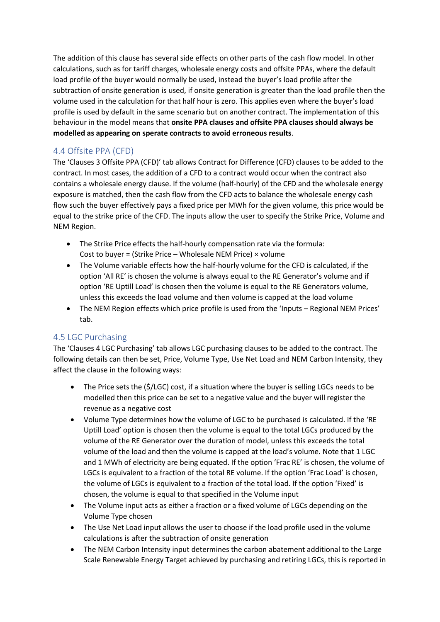The addition of this clause has several side effects on other parts of the cash flow model. In other calculations, such as for tariff charges, wholesale energy costs and offsite PPAs, where the default load profile of the buyer would normally be used, instead the buyer's load profile after the subtraction of onsite generation is used, if onsite generation is greater than the load profile then the volume used in the calculation for that half hour is zero. This applies even where the buyer's load profile is used by default in the same scenario but on another contract. The implementation of this behaviour in the model means that **onsite PPA clauses and offsite PPA clauses should always be modelled as appearing on sperate contracts to avoid erroneous results**.

## <span id="page-14-0"></span>4.4 Offsite PPA (CFD)

The 'Clauses 3 Offsite PPA (CFD)' tab allows Contract for Difference (CFD) clauses to be added to the contract. In most cases, the addition of a CFD to a contract would occur when the contract also contains a wholesale energy clause. If the volume (half-hourly) of the CFD and the wholesale energy exposure is matched, then the cash flow from the CFD acts to balance the wholesale energy cash flow such the buyer effectively pays a fixed price per MWh for the given volume, this price would be equal to the strike price of the CFD. The inputs allow the user to specify the Strike Price, Volume and NEM Region.

- The Strike Price effects the half-hourly compensation rate via the formula: Cost to buyer = (Strike Price – Wholesale NEM Price)  $\times$  volume
- The Volume variable effects how the half-hourly volume for the CFD is calculated, if the option 'All RE' is chosen the volume is always equal to the RE Generator's volume and if option 'RE Uptill Load' is chosen then the volume is equal to the RE Generators volume, unless this exceeds the load volume and then volume is capped at the load volume
- The NEM Region effects which price profile is used from the 'Inputs Regional NEM Prices' tab.

## <span id="page-14-1"></span>4.5 LGC Purchasing

The 'Clauses 4 LGC Purchasing' tab allows LGC purchasing clauses to be added to the contract. The following details can then be set, Price, Volume Type, Use Net Load and NEM Carbon Intensity, they affect the clause in the following ways:

- The Price sets the (\$/LGC) cost, if a situation where the buyer is selling LGCs needs to be modelled then this price can be set to a negative value and the buyer will register the revenue as a negative cost
- Volume Type determines how the volume of LGC to be purchased is calculated. If the 'RE Uptill Load' option is chosen then the volume is equal to the total LGCs produced by the volume of the RE Generator over the duration of model, unless this exceeds the total volume of the load and then the volume is capped at the load's volume. Note that 1 LGC and 1 MWh of electricity are being equated. If the option 'Frac RE' is chosen, the volume of LGCs is equivalent to a fraction of the total RE volume. If the option 'Frac Load' is chosen, the volume of LGCs is equivalent to a fraction of the total load. If the option 'Fixed' is chosen, the volume is equal to that specified in the Volume input
- The Volume input acts as either a fraction or a fixed volume of LGCs depending on the Volume Type chosen
- The Use Net Load input allows the user to choose if the load profile used in the volume calculations is after the subtraction of onsite generation
- The NEM Carbon Intensity input determines the carbon abatement additional to the Large Scale Renewable Energy Target achieved by purchasing and retiring LGCs, this is reported in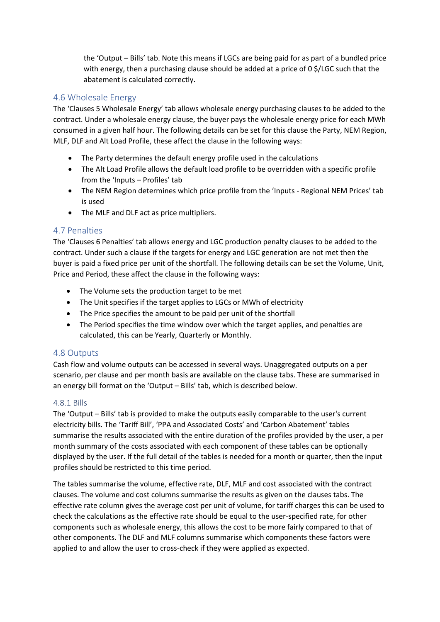the 'Output – Bills' tab. Note this means if LGCs are being paid for as part of a bundled price with energy, then a purchasing clause should be added at a price of 0 \$/LGC such that the abatement is calculated correctly.

## <span id="page-15-0"></span>4.6 Wholesale Energy

The 'Clauses 5 Wholesale Energy' tab allows wholesale energy purchasing clauses to be added to the contract. Under a wholesale energy clause, the buyer pays the wholesale energy price for each MWh consumed in a given half hour. The following details can be set for this clause the Party, NEM Region, MLF, DLF and Alt Load Profile, these affect the clause in the following ways:

- The Party determines the default energy profile used in the calculations
- The Alt Load Profile allows the default load profile to be overridden with a specific profile from the 'Inputs – Profiles' tab
- The NEM Region determines which price profile from the 'Inputs Regional NEM Prices' tab is used
- The MLF and DLF act as price multipliers.

#### <span id="page-15-1"></span>4.7 Penalties

The 'Clauses 6 Penalties' tab allows energy and LGC production penalty clauses to be added to the contract. Under such a clause if the targets for energy and LGC generation are not met then the buyer is paid a fixed price per unit of the shortfall. The following details can be set the Volume, Unit, Price and Period, these affect the clause in the following ways:

- The Volume sets the production target to be met
- The Unit specifies if the target applies to LGCs or MWh of electricity
- The Price specifies the amount to be paid per unit of the shortfall
- The Period specifies the time window over which the target applies, and penalties are calculated, this can be Yearly, Quarterly or Monthly.

#### <span id="page-15-2"></span>4.8 Outputs

Cash flow and volume outputs can be accessed in several ways. Unaggregated outputs on a per scenario, per clause and per month basis are available on the clause tabs. These are summarised in an energy bill format on the 'Output – Bills' tab, which is described below.

#### <span id="page-15-3"></span>4.8.1 Bills

The 'Output – Bills' tab is provided to make the outputs easily comparable to the user's current electricity bills. The 'Tariff Bill', 'PPA and Associated Costs' and 'Carbon Abatement' tables summarise the results associated with the entire duration of the profiles provided by the user, a per month summary of the costs associated with each component of these tables can be optionally displayed by the user. If the full detail of the tables is needed for a month or quarter, then the input profiles should be restricted to this time period.

The tables summarise the volume, effective rate, DLF, MLF and cost associated with the contract clauses. The volume and cost columns summarise the results as given on the clauses tabs. The effective rate column gives the average cost per unit of volume, for tariff charges this can be used to check the calculations as the effective rate should be equal to the user-specified rate, for other components such as wholesale energy, this allows the cost to be more fairly compared to that of other components. The DLF and MLF columns summarise which components these factors were applied to and allow the user to cross-check if they were applied as expected.